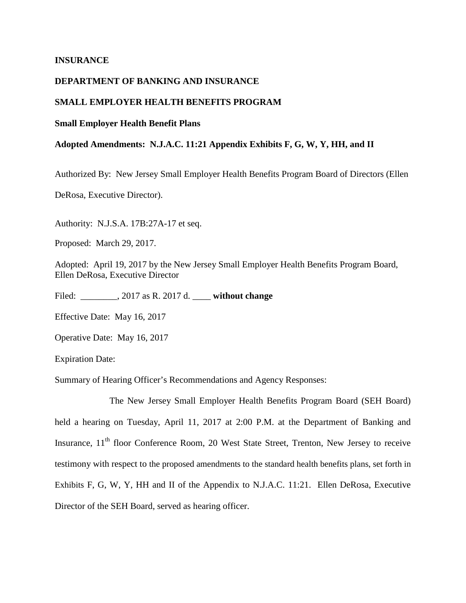## **INSURANCE**

# **DEPARTMENT OF BANKING AND INSURANCE**

### **SMALL EMPLOYER HEALTH BENEFITS PROGRAM**

#### **Small Employer Health Benefit Plans**

### **Adopted Amendments: N.J.A.C. 11:21 Appendix Exhibits F, G, W, Y, HH, and II**

Authorized By: New Jersey Small Employer Health Benefits Program Board of Directors (Ellen

DeRosa, Executive Director).

Authority: N.J.S.A. 17B:27A-17 et seq.

Proposed: March 29, 2017.

Adopted: April 19, 2017 by the New Jersey Small Employer Health Benefits Program Board, Ellen DeRosa, Executive Director

Filed: \_\_\_\_\_\_\_\_, 2017 as R. 2017 d. \_\_\_\_ **without change**

Effective Date: May 16, 2017

Operative Date: May 16, 2017

Expiration Date:

Summary of Hearing Officer's Recommendations and Agency Responses:

The New Jersey Small Employer Health Benefits Program Board (SEH Board) held a hearing on Tuesday, April 11, 2017 at 2:00 P.M. at the Department of Banking and Insurance, 11<sup>th</sup> floor Conference Room, 20 West State Street, Trenton, New Jersey to receive testimony with respect to the proposed amendments to the standard health benefits plans, set forth in Exhibits F, G, W, Y, HH and II of the Appendix to N.J.A.C. 11:21. Ellen DeRosa, Executive Director of the SEH Board, served as hearing officer.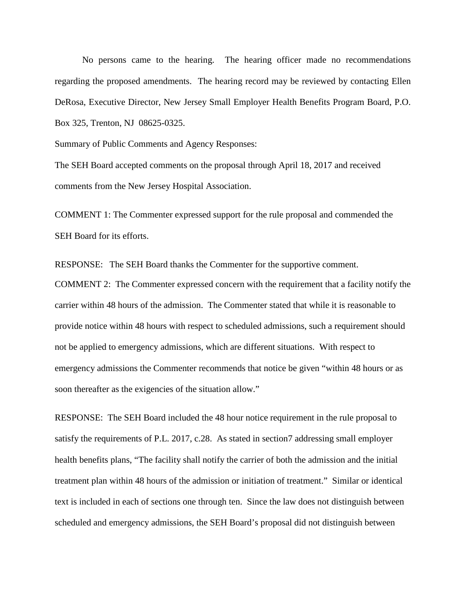No persons came to the hearing. The hearing officer made no recommendations regarding the proposed amendments. The hearing record may be reviewed by contacting Ellen DeRosa, Executive Director, New Jersey Small Employer Health Benefits Program Board, P.O. Box 325, Trenton, NJ 08625-0325.

Summary of Public Comments and Agency Responses:

The SEH Board accepted comments on the proposal through April 18, 2017 and received comments from the New Jersey Hospital Association.

COMMENT 1: The Commenter expressed support for the rule proposal and commended the SEH Board for its efforts.

RESPONSE: The SEH Board thanks the Commenter for the supportive comment.

COMMENT 2: The Commenter expressed concern with the requirement that a facility notify the carrier within 48 hours of the admission. The Commenter stated that while it is reasonable to provide notice within 48 hours with respect to scheduled admissions, such a requirement should not be applied to emergency admissions, which are different situations. With respect to emergency admissions the Commenter recommends that notice be given "within 48 hours or as soon thereafter as the exigencies of the situation allow."

RESPONSE: The SEH Board included the 48 hour notice requirement in the rule proposal to satisfy the requirements of P.L. 2017, c.28. As stated in section7 addressing small employer health benefits plans, "The facility shall notify the carrier of both the admission and the initial treatment plan within 48 hours of the admission or initiation of treatment." Similar or identical text is included in each of sections one through ten. Since the law does not distinguish between scheduled and emergency admissions, the SEH Board's proposal did not distinguish between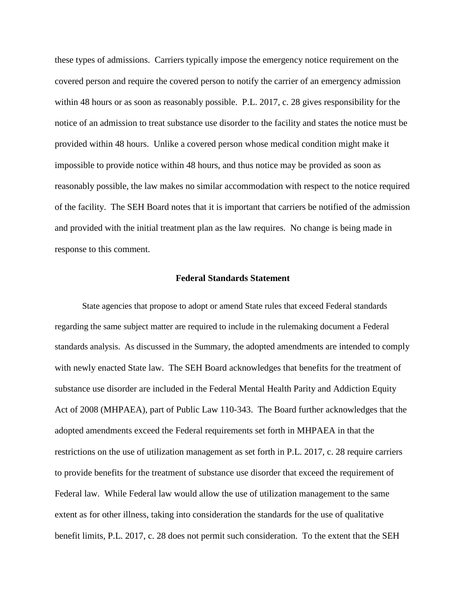these types of admissions. Carriers typically impose the emergency notice requirement on the covered person and require the covered person to notify the carrier of an emergency admission within 48 hours or as soon as reasonably possible. P.L. 2017, c. 28 gives responsibility for the notice of an admission to treat substance use disorder to the facility and states the notice must be provided within 48 hours. Unlike a covered person whose medical condition might make it impossible to provide notice within 48 hours, and thus notice may be provided as soon as reasonably possible, the law makes no similar accommodation with respect to the notice required of the facility. The SEH Board notes that it is important that carriers be notified of the admission and provided with the initial treatment plan as the law requires. No change is being made in response to this comment.

# **Federal Standards Statement**

State agencies that propose to adopt or amend State rules that exceed Federal standards regarding the same subject matter are required to include in the rulemaking document a Federal standards analysis. As discussed in the Summary, the adopted amendments are intended to comply with newly enacted State law. The SEH Board acknowledges that benefits for the treatment of substance use disorder are included in the Federal Mental Health Parity and Addiction Equity Act of 2008 (MHPAEA), part of Public Law 110-343. The Board further acknowledges that the adopted amendments exceed the Federal requirements set forth in MHPAEA in that the restrictions on the use of utilization management as set forth in P.L. 2017, c. 28 require carriers to provide benefits for the treatment of substance use disorder that exceed the requirement of Federal law. While Federal law would allow the use of utilization management to the same extent as for other illness, taking into consideration the standards for the use of qualitative benefit limits, P.L. 2017, c. 28 does not permit such consideration. To the extent that the SEH